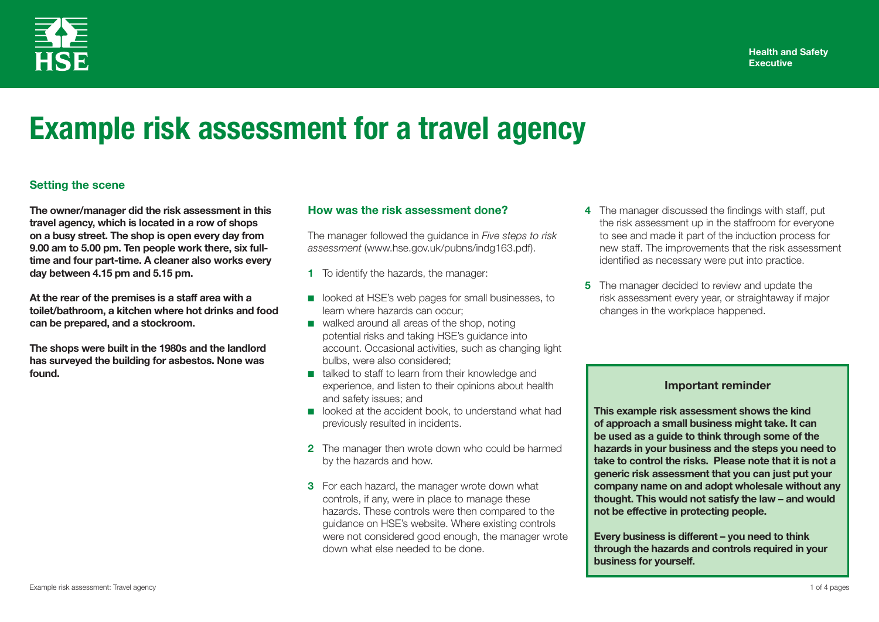

# **Example risk assessment for a travel agency**

## **Setting the scene**

**The owner/manager did the risk assessment in this travel agency, which is located in a row of shops on a busy street. The shop is open every day from 9.00 am to 5.00 pm. Ten people work there, six fulltime and four part-time. A cleaner also works every day between 4.15 pm and 5.15 pm.**

**At the rear of the premises is a staff area with a toilet/bathroom, a kitchen where hot drinks and food can be prepared, and a stockroom.** 

**The shops were built in the 1980s and the landlord has surveyed the building for asbestos. None was found.**

### **How was the risk assessment done?**

The manager followed the guidance in *Five steps to risk assessment* (www.hse.gov.uk/pubns/indg163.pdf).

- **1** To identify the hazards, the manager:
- looked at HSE's web pages for small businesses, to learn where hazards can occur;
- walked around all areas of the shop, noting potential risks and taking HSE's guidance into account. Occasional activities, such as changing light bulbs, were also considered;
- talked to staff to learn from their knowledge and experience, and listen to their opinions about health and safety issues; and
- looked at the accident book, to understand what had previously resulted in incidents.
- **2** The manager then wrote down who could be harmed by the hazards and how.
- **3** For each hazard, the manager wrote down what controls, if any, were in place to manage these hazards. These controls were then compared to the guidance on HSE's website. Where existing controls were not considered good enough, the manager wrote down what else needed to be done.
- **4** The manager discussed the findings with staff, put the risk assessment up in the staffroom for everyone to see and made it part of the induction process for new staff. The improvements that the risk assessment identified as necessary were put into practice.
- **5** The manager decided to review and update the risk assessment every year, or straightaway if major changes in the workplace happened.

### **Important reminder**

**This example risk assessment shows the kind of approach a small business might take. It can be used as a guide to think through some of the hazards in your business and the steps you need to take to control the risks. Please note that it is not a generic risk assessment that you can just put your company name on and adopt wholesale without any thought. This would not satisfy the law – and would not be effective in protecting people.**

**Every business is different – you need to think through the hazards and controls required in your business for yourself.**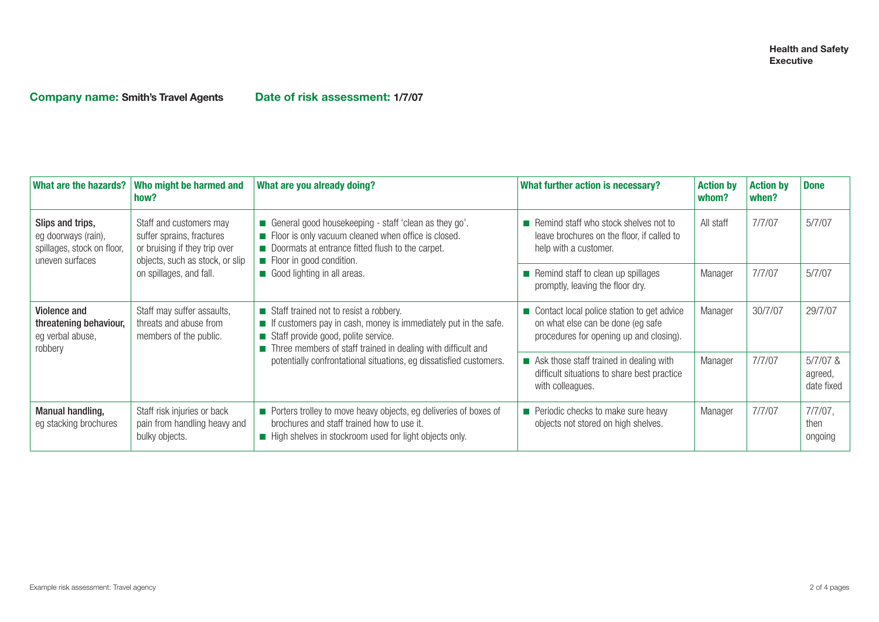**Company name: Smith's Travel Agents Date of risk assessment: 1/7/07**

| What are the hazards?                                                                    | Who might be harmed and<br>how?                                                                                                                     | What are you already doing?                                                                                                                                                                                                                                                                           | What further action is necessary?                                                                                           | <b>Action by</b><br>whom? | <b>Action by</b><br>when? | <b>Done</b>                         |
|------------------------------------------------------------------------------------------|-----------------------------------------------------------------------------------------------------------------------------------------------------|-------------------------------------------------------------------------------------------------------------------------------------------------------------------------------------------------------------------------------------------------------------------------------------------------------|-----------------------------------------------------------------------------------------------------------------------------|---------------------------|---------------------------|-------------------------------------|
| Slips and trips,<br>eg doorways (rain),<br>spillages, stock on floor,<br>uneven surfaces | Staff and customers may<br>suffer sprains, fractures<br>or bruising if they trip over<br>objects, such as stock, or slip<br>on spillages, and fall. | ■ General good housekeeping - staff 'clean as they go'.<br>Floor is only vacuum cleaned when office is closed.<br>Doormats at entrance fitted flush to the carpet.<br>Floor in good condition.<br>Good lighting in all areas.                                                                         | $\blacksquare$ Remind staff who stock shelves not to<br>leave brochures on the floor, if called to<br>help with a customer. | All staff                 | 7/7/07                    | 5/7/07                              |
|                                                                                          |                                                                                                                                                     |                                                                                                                                                                                                                                                                                                       | Remind staff to clean up spillages<br>promptly, leaving the floor dry.                                                      | Manager                   | 7/7/07                    | 5/7/07                              |
| Violence and<br>threatening behaviour,<br>eg verbal abuse,<br>robbery                    | Staff may suffer assaults,<br>threats and abuse from<br>members of the public.                                                                      | Staff trained not to resist a robbery.<br>$\blacksquare$ If customers pay in cash, money is immediately put in the safe.<br>Staff provide good, polite service.<br>Three members of staff trained in dealing with difficult and<br>potentially confrontational situations, eg dissatisfied customers. | Contact local police station to get advice<br>on what else can be done (eg safe)<br>procedures for opening up and closing). | Manager                   | 30/7/07                   | 29/7/07                             |
|                                                                                          |                                                                                                                                                     |                                                                                                                                                                                                                                                                                                       | Ask those staff trained in dealing with<br>difficult situations to share best practice<br>with colleagues.                  | Manager                   | 7/7/07                    | $5/7/07$ &<br>agreed,<br>date fixed |
| Manual handling,<br>eg stacking brochures                                                | Staff risk injuries or back<br>pain from handling heavy and<br>bulky objects.                                                                       | Porters trolley to move heavy objects, eg deliveries of boxes of<br>brochures and staff trained how to use it.<br>High shelves in stockroom used for light objects only.                                                                                                                              | Periodic checks to make sure heavy<br>objects not stored on high shelves.                                                   | Manager                   | 7/7/07                    | $7/7/07$ ,<br>then<br>ongoing       |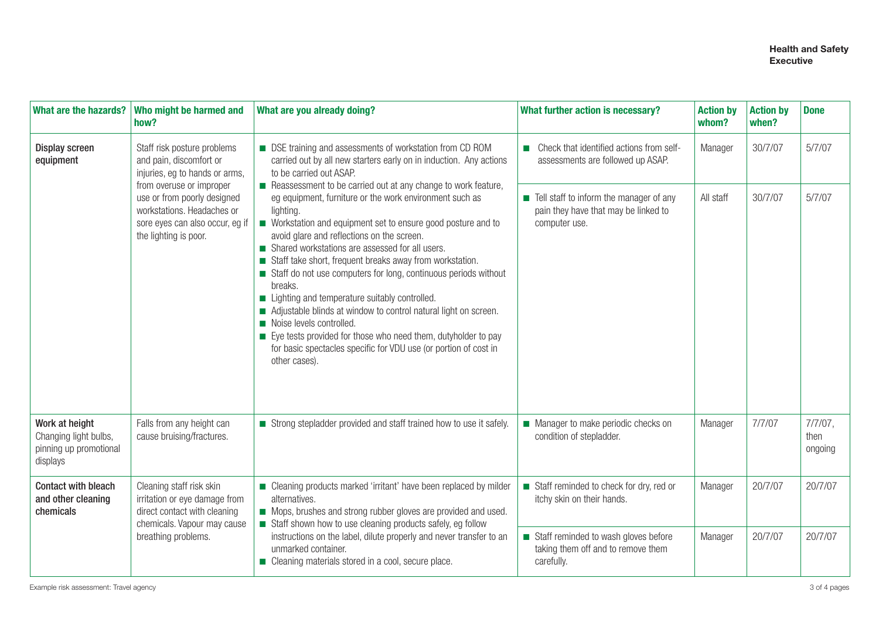#### **Health and Safety Executive**

| What are the hazards?                                                         | Who might be harmed and<br>how?                                                                                                                                                                                                               | What are you already doing?                                                                                                                                                                                                                                                                                                                                                                                                                                                                                                                                                                                                                                                                                                                                                                                                                                                                                           | What further action is necessary?                                                                  | <b>Action by</b><br>whom? | <b>Action by</b><br>when? | <b>Done</b>                   |
|-------------------------------------------------------------------------------|-----------------------------------------------------------------------------------------------------------------------------------------------------------------------------------------------------------------------------------------------|-----------------------------------------------------------------------------------------------------------------------------------------------------------------------------------------------------------------------------------------------------------------------------------------------------------------------------------------------------------------------------------------------------------------------------------------------------------------------------------------------------------------------------------------------------------------------------------------------------------------------------------------------------------------------------------------------------------------------------------------------------------------------------------------------------------------------------------------------------------------------------------------------------------------------|----------------------------------------------------------------------------------------------------|---------------------------|---------------------------|-------------------------------|
| <b>Display screen</b><br>equipment                                            | Staff risk posture problems<br>and pain, discomfort or<br>injuries, eg to hands or arms,<br>from overuse or improper<br>use or from poorly designed<br>workstations. Headaches or<br>sore eyes can also occur, eg if<br>the lighting is poor. | ■ DSE training and assessments of workstation from CD ROM<br>carried out by all new starters early on in induction. Any actions<br>to be carried out ASAP.<br>Reassessment to be carried out at any change to work feature,<br>eg equipment, furniture or the work environment such as<br>lighting.<br>■ Workstation and equipment set to ensure good posture and to<br>avoid glare and reflections on the screen.<br>Shared workstations are assessed for all users.<br>Staff take short, frequent breaks away from workstation.<br>Staff do not use computers for long, continuous periods without<br>breaks.<br>Lighting and temperature suitably controlled.<br>Adjustable blinds at window to control natural light on screen.<br>Noise levels controlled.<br>Eye tests provided for those who need them, dutyholder to pay<br>for basic spectacles specific for VDU use (or portion of cost in<br>other cases). | Check that identified actions from self-<br><b>Tale</b><br>assessments are followed up ASAP.       | Manager                   | 30/7/07                   | 5/7/07                        |
|                                                                               |                                                                                                                                                                                                                                               |                                                                                                                                                                                                                                                                                                                                                                                                                                                                                                                                                                                                                                                                                                                                                                                                                                                                                                                       | • Tell staff to inform the manager of any<br>pain they have that may be linked to<br>computer use. | All staff                 | 30/7/07                   | 5/7/07                        |
| Work at height<br>Changing light bulbs,<br>pinning up promotional<br>displays | Falls from any height can<br>cause bruising/fractures.                                                                                                                                                                                        | Strong stepladder provided and staff trained how to use it safely.                                                                                                                                                                                                                                                                                                                                                                                                                                                                                                                                                                                                                                                                                                                                                                                                                                                    | Manager to make periodic checks on<br>condition of stepladder.                                     | Manager                   | 7/7/07                    | $7/7/07$ ,<br>then<br>ongoing |
| <b>Contact with bleach</b><br>and other cleaning<br>chemicals                 | Cleaning staff risk skin<br>irritation or eye damage from<br>direct contact with cleaning<br>chemicals. Vapour may cause<br>breathing problems.                                                                                               | ■ Cleaning products marked 'irritant' have been replaced by milder<br>alternatives.<br>Mops, brushes and strong rubber gloves are provided and used.<br>Staff shown how to use cleaning products safely, eg follow<br>instructions on the label, dilute properly and never transfer to an<br>unmarked container.<br>Cleaning materials stored in a cool, secure place.                                                                                                                                                                                                                                                                                                                                                                                                                                                                                                                                                | Staff reminded to check for dry, red or<br>itchy skin on their hands.                              | Manager                   | 20/7/07                   | 20/7/07                       |
|                                                                               |                                                                                                                                                                                                                                               |                                                                                                                                                                                                                                                                                                                                                                                                                                                                                                                                                                                                                                                                                                                                                                                                                                                                                                                       | Staff reminded to wash gloves before<br>taking them off and to remove them<br>carefully.           | Manager                   | 20/7/07                   | 20/7/07                       |